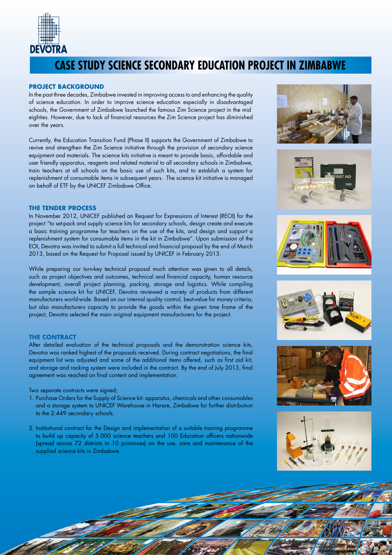

# **CASE STUDY SCIENCE SECONDARY EDUCATION PROJECT IN ZIMBABWE**

#### **PROJECT BACKGROUND**

In the past three decades, Zimbabwe invested in improving access to and enhancing the quality of science education. In order to improve science education especially in disadvantaged schools, the Government of Zimbabwe launched the famous Zim Science project in the mid eighties. However, due to lack of financial resources the Zim Science project has diminished over the years.

Currently, the Education Transition Fund (Phase II) supports the Government of Zimbabwe to revive and strengthen the Zim Science initiative through the provision of secondary science equipment and materials. The science kits initiative is meant to provide basic, affordable and user friendly apparatus, reagents and related material to all secondary schools in Zimbabwe, train teachers at all schools on the basic use of such kits, and to establish a system for replenishment of consumable items in subsequent years. The science kit initiative is managed on behalf of ETF by the UNICEF Zimbabwe Office.

## **THE TENDER PROCESS**

In November 2012, UNICEF published an Request for Expressions of Interest (REOI) for the project "to set-pack and supply science kits for secondary schools, design create and execute a basic training programme for teachers on the use of the kits, and design and support a replenishment system for consumable items in the kit in Zimbabwe". Upon submission of the EOI, Devotra was invited to submit a full technical and financial proposal by the end of March 2013, based on the Request for Proposal issued by UNICEF in February 2013.

While preparing our turn-key technical proposal much attention was given to all details, such as project objectives and outcomes, technical and financial capacity, human resource development, overall project planning, packing, storage and logistics. While compiling the sample science kit for UNICEF, Devotra reviewed a variety of products from different manufacturers world-wide. Based on our internal quality control, best-value for money criteria, but also manufacturers capacity to provide the goods within the given time frame of the project, Devotra selected the main original equipment manufacturers for the project.

## **THE CONTRACT**

After detailed evaluation of the technical proposals and the demonstration science kits, Devotra was ranked highest of the proposals received. During contract negotiations, the final equipment list was adjusted and some of the additional items offered, such as first aid kit, and storage and racking system were included in the contract. By the end of July 2013, final agreement was reached on final content and implementation.

Two separate contracts were signed;

- 1. Purchase Orders for the Supply of Science kit: apparatus, chemicals and other consumables and a storage system to UNICEF Warehouse in Harare, Zimbabwe for further distribution to the 2.449 secondary schools.
- 2. Institutional contract for the Design and implementation of a suitable training programme to build up capacity of 5.000 science teachers and 100 Education officers nationwide (spread across 72 districts in 10 provinces) on the use, care and maintenance of the supplied science kits in Zimbabwe.